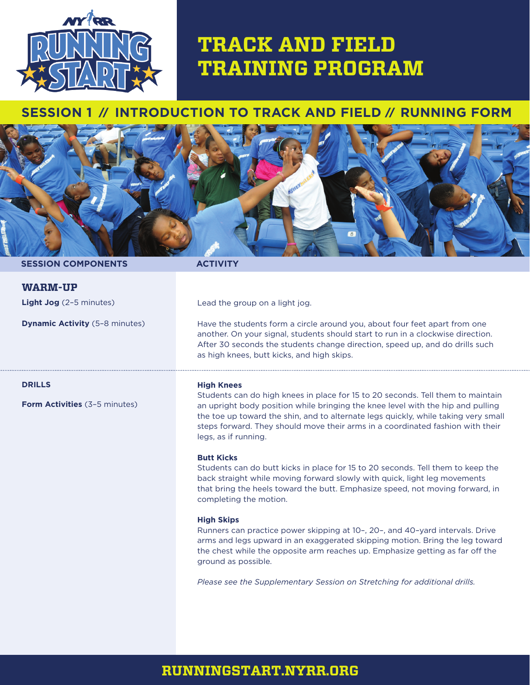

# **TRACK AND FIELD TRAINING PROGRAM**

# **SESSION 1** // **INTRODUCTION TO TRACK AND FIELD** // **RUNNING FORM**



### **SESSION COMPONENTS ACTIVITY**

**Light Jog** (2–5 minutes)

**Dynamic Activity** (5–8 minutes)

**WARM-UP**

Lead the group on a light jog.

Have the students form a circle around you, about four feet apart from one another. On your signal, students should start to run in a clockwise direction. After 30 seconds the students change direction, speed up, and do drills such as high knees, butt kicks, and high skips.

**DRILLS**

**Form Activities** (3–5 minutes)

#### **High Knees**

Students can do high knees in place for 15 to 20 seconds. Tell them to maintain an upright body position while bringing the knee level with the hip and pulling the toe up toward the shin, and to alternate legs quickly, while taking very small steps forward. They should move their arms in a coordinated fashion with their legs, as if running.

### **Butt Kicks**

Students can do butt kicks in place for 15 to 20 seconds. Tell them to keep the back straight while moving forward slowly with quick, light leg movements that bring the heels toward the butt. Emphasize speed, not moving forward, in completing the motion.

#### **High Skips**

Runners can practice power skipping at 10–, 20–, and 40–yard intervals. Drive arms and legs upward in an exaggerated skipping motion. Bring the leg toward the chest while the opposite arm reaches up. Emphasize getting as far off the ground as possible.

*Please see the Supplementary Session on Stretching for additional drills.*

# **RUNNINGSTART.NYRR.ORG**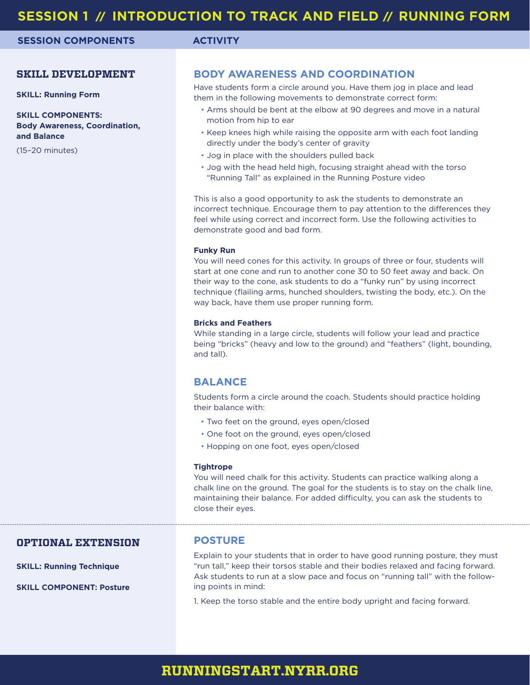**SESSION COMPONENTS ACTIVITY**

# **SKILL DEVELOPMENT**

**SKILL: Running Form**

**SKILL COMPONENTS: Body Awareness, Coordination, and Balance**

(15–20 minutes)

# **BODY AWARENESS AND COORDINATION**

Have students form a circle around you. Have them jog in place and lead them in the following movements to demonstrate correct form:

- Arms should be bent at the elbow at 90 degrees and move in a natural motion from hip to ear
- Keep knees high while raising the opposite arm with each foot landing directly under the body's center of gravity
- Jog in place with the shoulders pulled back
- Jog with the head held high, focusing straight ahead with the torso "Running Tall" as explained in the Running Posture video

This is also a good opportunity to ask the students to demonstrate an incorrect technique. Encourage them to pay attention to the differences they feel while using correct and incorrect form. Use the following activities to demonstrate good and bad form.

#### **Funky Run**

You will need cones for this activity. In groups of three or four, students will start at one cone and run to another cone 30 to 50 feet away and back. On their way to the cone, ask students to do a "funky run" by using incorrect technique (flailing arms, hunched shoulders, twisting the body, etc.). On the way back, have them use proper running form.

#### **Bricks and Feathers**

While standing in a large circle, students will follow your lead and practice being "bricks" (heavy and low to the ground) and "feathers" (light, bounding, and tall).

## **BALANCE**

Students form a circle around the coach. Students should practice holding their balance with:

- Two feet on the ground, eyes open/closed
- One foot on the ground, eyes open/closed
- Hopping on one foot, eyes open/closed

#### **Tightrope**

You will need chalk for this activity. Students can practice walking along a chalk line on the ground. The goal for the students is to stay on the chalk line, maintaining their balance. For added difficulty, you can ask the students to close their eyes.

### **OPTIONAL EXTENSION**

**SKILL: Running Technique**

**SKILL COMPONENT: Posture**

#### **POSTURE**

Explain to your students that in order to have good running posture, they must "run tall," keep their torsos stable and their bodies relaxed and facing forward. Ask students to run at a slow pace and focus on "running tall" with the following points in mind:

1. Keep the torso stable and the entire body upright and facing forward.

# **RUNNINGSTART.NYRR.ORG**